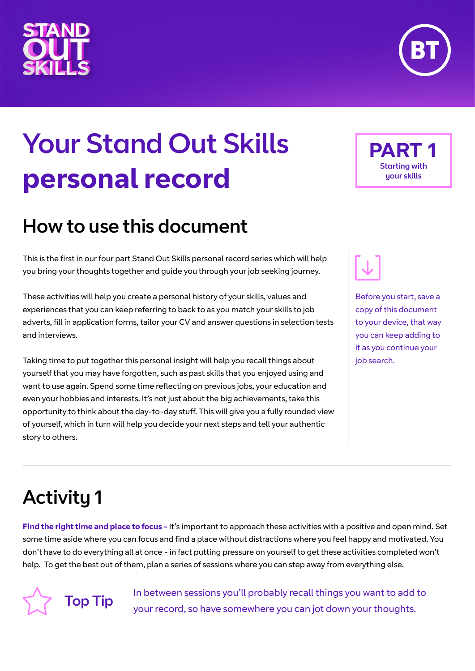# Your Stand Out Skills **personal record**

# How to use this document

This is the first in our four part Stand Out Skills personal record series which will help you bring your thoughts together and guide you through your job seeking journey.

These activities will help you create a personal history of your skills, values and experiences that you can keep referring to back to as you match your skills to job adverts, fill in application forms, tailor your CV and answer questions in selection tests and interviews.

Taking time to put together this personal insight will help you recall things about yourself that you may have forgotten, such as past skills that you enjoyed using and want to use again. Spend some time reflecting on previous jobs, your education and even your hobbies and interests. It's not just about the big achievements, take this opportunity to think about the day-to-day stuff. This will give you a fully rounded view of yourself, which in turn will help you decide your next steps and tell your authentic story to others.

# Activity 1

**Find the right time and place to focus -** It's important to approach these activities with a positive and open mind. Set some time aside where you can focus and find a place without distractions where you feel happy and motivated. You don't have to do everything all at once - in fact putting pressure on yourself to get these activities completed won't help. To get the best out of them, plan a series of sessions where you can step away from everything else.

Top Tip

you can keep adding to it as you continue your iob search.

Before you start, save a copy of this document to your device, that way

**PART 1**

Starting with your skills

In between sessions you'll probably recall things you want to add to your record, so have somewhere you can jot down your thoughts.







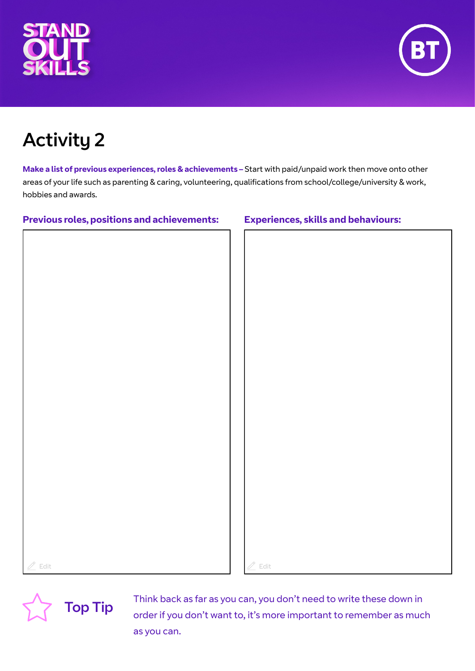



**Make a list of previous experiences, roles & achievements –** Start with paid/unpaid work then move onto other areas of your life such as parenting & caring, volunteering, qualifications from school/college/university & work, hobbies and awards.

### **Previous roles, positions and achievements: Experiences, skills and behaviours:**

# Edit  $\mathbb Z$  Edit



Think back as far as you can, you don't need to write these down in<br>
Top Tip<br>
Tip<br>
Tip<br>
Tip<br>
Tip order if you don't want to, it's more important to remember as much as you can.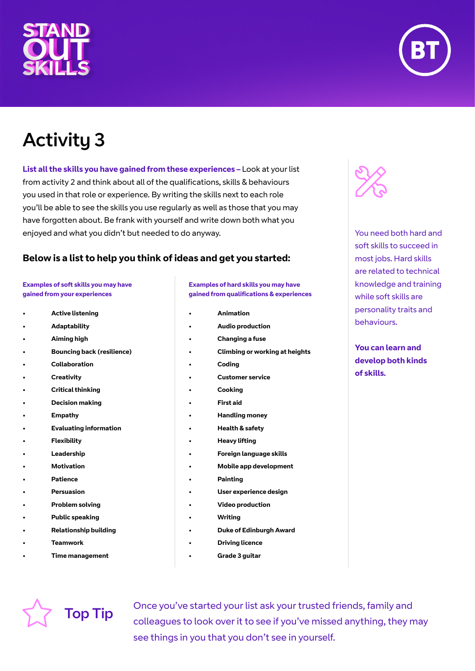



**List all the skills you have gained from these experiences –** Look at your list from activity 2 and think about all of the qualifications, skills & behaviours you used in that role or experience. By writing the skills next to each role you'll be able to see the skills you use regularly as well as those that you may have forgotten about. Be frank with yourself and write down both what you enjoyed and what you didn't but needed to do anyway.

### **Below is a list to help you think of ideas and get you started:**

### **Examples of soft skills you may have gained from your experiences**

- **• Active listening**
- **• Adaptability**
- **• Aiming high**
- **• Bouncing back (resilience)**
- **• Collaboration**
- **• Creativity**
- **• Critical thinking**
- **• Decision making**
- **• Empathy**
- **• Evaluating information**
- **• Flexibility**
- **• Leadership**
- **• Motivation**
- **• Patience**
- **• Persuasion**
- **• Problem solving**
- **• Public speaking**
- **• Relationship building**
- **• Teamwork**
- **• Time management**

### **Examples of hard skills you may have gained from qualifications & experiences**

- **• Animation**
- **• Audio production**
- **• Changing a fuse**
- **• Climbing or working at heights**
- **• Coding**
- **• Customer service**
- **• Cooking**
- **• First aid**
- **• Handling money**
- **• Health & safety**
- **• Heavy lifting**
- **• Foreign language skills**
- **• Mobile app development**
- **• Painting**
- **• User experience design**
- **• Video production**
- **• Writing**
- **• Duke of Edinburgh Award**
- **• Driving licence**
- **• Grade 3 guitar**



You need both hard and soft skills to succeed in most jobs. Hard skills are related to technical knowledge and training while soft skills are personality traits and behaviours.

**You can learn and develop both kinds of skills.** 

Once you've started your list ask your trusted friends, family and<br>
Top Tip colleagues to look over it to see if you've missed anything, they may see things in you that you don't see in yourself.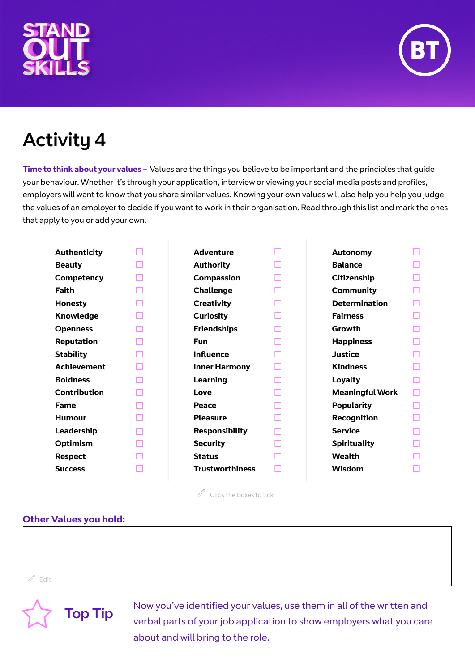



**Time to think about your values –** Values are the things you believe to be important and the principles that guide your behaviour. Whether it's through your application, interview or viewing your social media posts and profiles, employers will want to know that you share similar values. Knowing your own values will also help you help you judge the values of an employer to decide if you want to work in their organisation. Read through this list and mark the ones that apply to you or add your own.

| <b>Authenticity</b> |   | <b>Adventure</b>       |    | Autonomy               |   |
|---------------------|---|------------------------|----|------------------------|---|
| <b>Beauty</b>       |   | <b>Authority</b>       |    | <b>Balance</b>         |   |
| Competency          | □ | <b>Compassion</b>      | □  | Citizenship            |   |
| <b>Faith</b>        |   | <b>Challenge</b>       | □  | <b>Community</b>       |   |
|                     |   |                        |    |                        |   |
| <b>Honesty</b>      |   | <b>Creativity</b>      | П  | <b>Determination</b>   |   |
| Knowledge           | ш | <b>Curiosity</b>       | L. | <b>Fairness</b>        |   |
| <b>Openness</b>     | П | <b>Friendships</b>     | П  | Growth                 |   |
| Reputation          | п | <b>Fun</b>             |    | <b>Happiness</b>       |   |
| <b>Stability</b>    |   | <b>Influence</b>       |    | <b>Justice</b>         |   |
| <b>Achievement</b>  |   | <b>Inner Harmony</b>   | ш  | <b>Kindness</b>        |   |
| <b>Boldness</b>     |   | Learning               | L. | <b>Loyalty</b>         |   |
| <b>Contribution</b> |   | Love                   |    | <b>Meaningful Work</b> | П |
| <b>Fame</b>         |   | Peace                  |    | <b>Popularity</b>      |   |
| <b>Humour</b>       |   | <b>Pleasure</b>        |    | Recognition            |   |
| Leadership          |   | <b>Responsibility</b>  | П  | <b>Service</b>         |   |
| <b>Optimism</b>     |   | <b>Security</b>        |    | <b>Spirituality</b>    |   |
| <b>Respect</b>      |   | <b>Status</b>          |    | <b>Wealth</b>          |   |
| <b>Success</b>      |   | <b>Trustworthiness</b> |    | Wisdom                 |   |
|                     |   |                        |    |                        |   |

 $\mathbb Z$  Click the boxes to tick

### **Other Values you hold:**

Edit

Now you've identified your values, use them in all of the written and<br>
Top Tip<br>
Now you've identified your values, use them in all of the written and verbal parts of your job application to show employers what you care about and will bring to the role.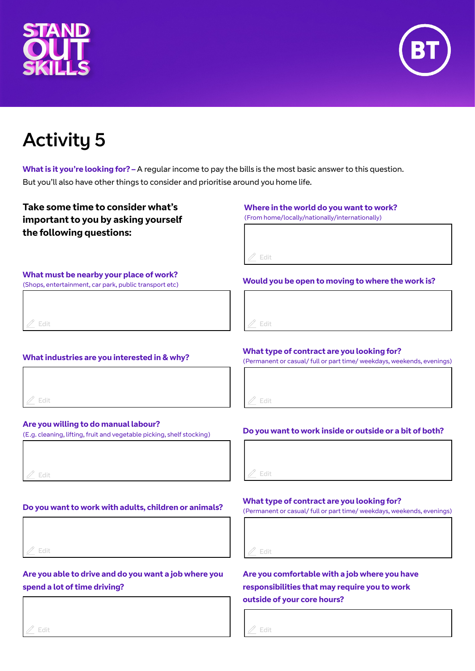



**What is it you're looking for? –** A regular income to pay the bills is the most basic answer to this question. But you'll also have other things to consider and prioritise around you home life.

### **Take some time to consider what's important to you by asking yourself the following questions:**

### **Where in the world do you want to work?**

(From home/locally/nationally/internationally)

Edit

### **What must be nearby your place of work?**

(Shops, entertainment, car park, public transport etc)

Edit

### **What industries are you interested in & why?**



### **Are you willing to do manual labour?**

(E.g. cleaning, lifting, fruit and vegetable picking, shelf stocking)

Edit

### **Do you want to work with adults, children or animals?**



### **Are you able to drive and do you want a job where you spend a lot of time driving?**

# Edit

### Edit

**Would you be open to moving to where the work is?**

### **What type of contract are you looking for?**

(Permanent or casual/ full or part time/ weekdays, weekends, evenings)

Edit

### **Do you want to work inside or outside or a bit of both?**

Edit

### **What type of contract are you looking for?**

(Permanent or casual/ full or part time/ weekdays, weekends, evenings)

Edit

### **Are you comfortable with a job where you have responsibilities that may require you to work outside of your core hours?**

Edit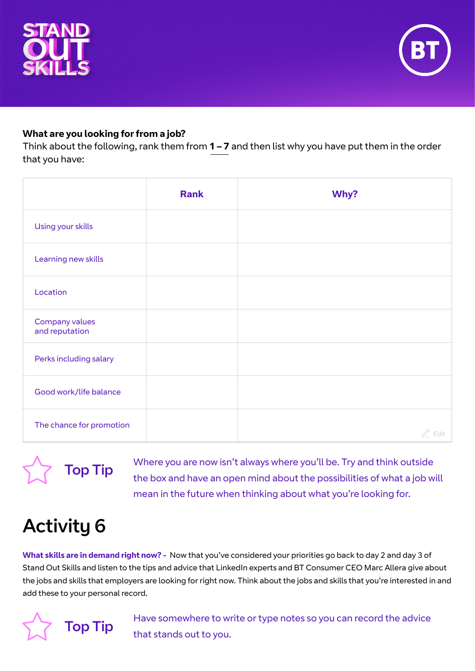



### **What are you looking for from a job?**

Think about the following, rank them from **1 – 7** and then list why you have put them in the order that you have:

|                                  | <b>Rank</b> | Why?       |
|----------------------------------|-------------|------------|
| Using your skills                |             |            |
| Learning new skills              |             |            |
| Location                         |             |            |
| Company values<br>and reputation |             |            |
| Perks including salary           |             |            |
| Good work/life balance           |             |            |
| The chance for promotion         |             | Edit<br>Ï. |

**Top Tip** Where you are now isn't always where you'll be. Try and think outside<br>the box and have an open mind about the possibilities of what a job w the box and have an open mind about the possibilities of what a job will mean in the future when thinking about what you're looking for.

## Activity 6

**What skills are in demand right now? -** Now that you've considered your priorities go back to day 2 and day 3 of Stand Out Skills and listen to the tips and advice that LinkedIn experts and BT Consumer CEO Marc Allera give about the jobs and skills that employers are looking for right now. Think about the jobs and skills that you're interested in and add these to your personal record.



Have somewhere to write or type notes so you can record the advice<br> **Top Tip** that stands out to you.